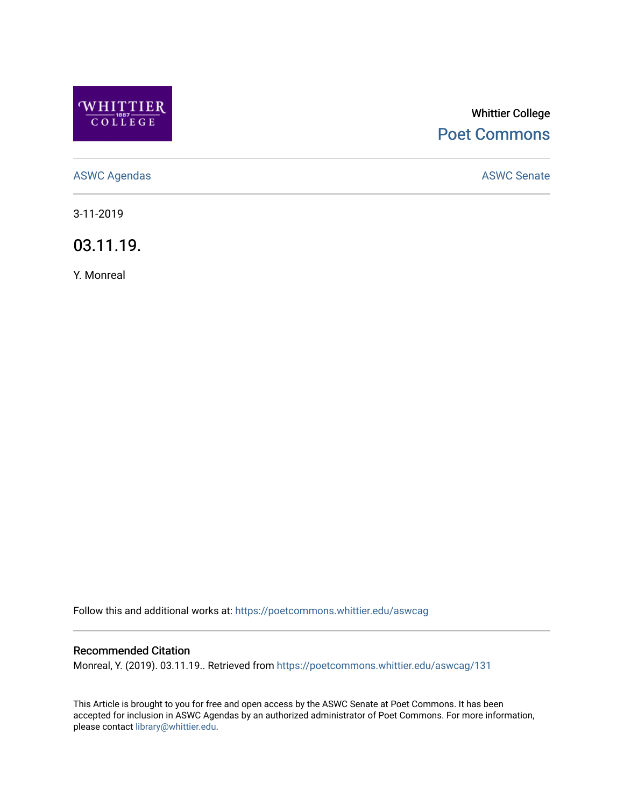

# Whittier College [Poet Commons](https://poetcommons.whittier.edu/)

[ASWC Agendas](https://poetcommons.whittier.edu/aswcag) **ASWC Senate** 

3-11-2019

03.11.19.

Y. Monreal

Follow this and additional works at: [https://poetcommons.whittier.edu/aswcag](https://poetcommons.whittier.edu/aswcag?utm_source=poetcommons.whittier.edu%2Faswcag%2F131&utm_medium=PDF&utm_campaign=PDFCoverPages) 

# Recommended Citation

Monreal, Y. (2019). 03.11.19.. Retrieved from [https://poetcommons.whittier.edu/aswcag/131](https://poetcommons.whittier.edu/aswcag/131?utm_source=poetcommons.whittier.edu%2Faswcag%2F131&utm_medium=PDF&utm_campaign=PDFCoverPages) 

This Article is brought to you for free and open access by the ASWC Senate at Poet Commons. It has been accepted for inclusion in ASWC Agendas by an authorized administrator of Poet Commons. For more information, please contact [library@whittier.edu](mailto:library@whittier.edu).